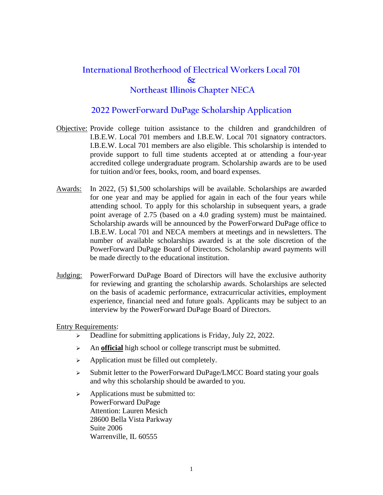## **International Brotherhood of Electrical Workers Local 701 & Northeast Illinois Chapter NECA**

#### **2022 PowerForward DuPage Scholarship Application**

- Objective: Provide college tuition assistance to the children and grandchildren of I.B.E.W. Local 701 members and I.B.E.W. Local 701 signatory contractors. I.B.E.W. Local 701 members are also eligible. This scholarship is intended to provide support to full time students accepted at or attending a four-year accredited college undergraduate program. Scholarship awards are to be used for tuition and/or fees, books, room, and board expenses.
- Awards: In 2022, (5) \$1,500 scholarships will be available. Scholarships are awarded for one year and may be applied for again in each of the four years while attending school. To apply for this scholarship in subsequent years, a grade point average of 2.75 (based on a 4.0 grading system) must be maintained. Scholarship awards will be announced by the PowerForward DuPage office to I.B.E.W. Local 701 and NECA members at meetings and in newsletters. The number of available scholarships awarded is at the sole discretion of the PowerForward DuPage Board of Directors. Scholarship award payments will be made directly to the educational institution.
- Judging: PowerForward DuPage Board of Directors will have the exclusive authority for reviewing and granting the scholarship awards. Scholarships are selected on the basis of academic performance, extracurricular activities, employment experience, financial need and future goals. Applicants may be subject to an interview by the PowerForward DuPage Board of Directors.

#### Entry Requirements:

- ➢ Deadline for submitting applications is Friday, July 22, 2022.
- ➢ An **official** high school or college transcript must be submitted.
- ➢ Application must be filled out completely.
- ➢ Submit letter to the PowerForward DuPage/LMCC Board stating your goals and why this scholarship should be awarded to you.
- ➢ Applications must be submitted to: PowerForward DuPage Attention: Lauren Mesich 28600 Bella Vista Parkway Suite 2006 Warrenville, IL 60555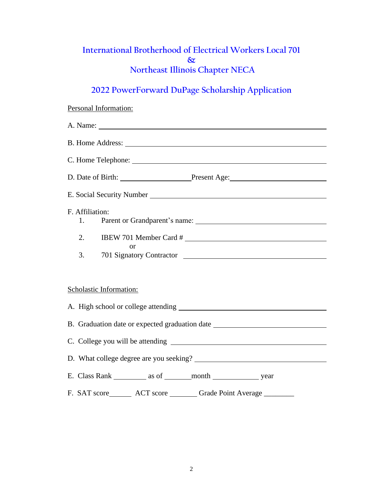## **International Brotherhood of Electrical Workers Local 701 & Northeast Illinois Chapter NECA**

## **2022 PowerForward DuPage Scholarship Application**

# Personal Information: A. Name: B. Home Address: C. Home Telephone: D. Date of Birth: Present Age: Present Age: E. Social Security Number F. Affiliation: 1. Parent or Grandparent's name: 2. IBEW 701 Member Card # or 3. 701 Signatory Contractor Scholastic Information: A. High school or college attending B. Graduation date or expected graduation date C. College you will be attending D. What college degree are you seeking? E. Class Rank as of month year F. SAT score ACT score Grade Point Average \_\_\_\_\_\_\_\_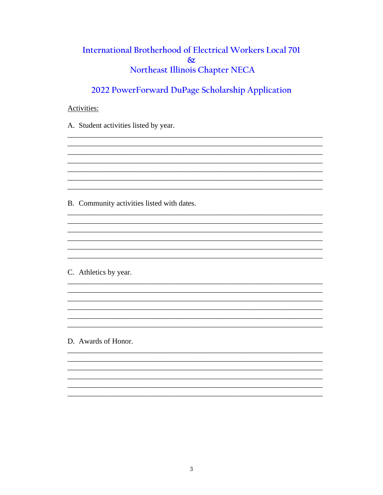## International Brotherhood of Electrical Workers Local 701  $\infty$ Northeast Illinois Chapter NECA

2022 PowerForward DuPage Scholarship Application

<u> 1980 - Jan Salam Barat, masa karang pada 1980 - Kabupaten Indonesia Indonesia Indonesia Indonesia Indonesia</u>

#### Activities:

A. Student activities listed by year.

B. Community activities listed with dates.

C. Athletics by year.

D. Awards of Honor.